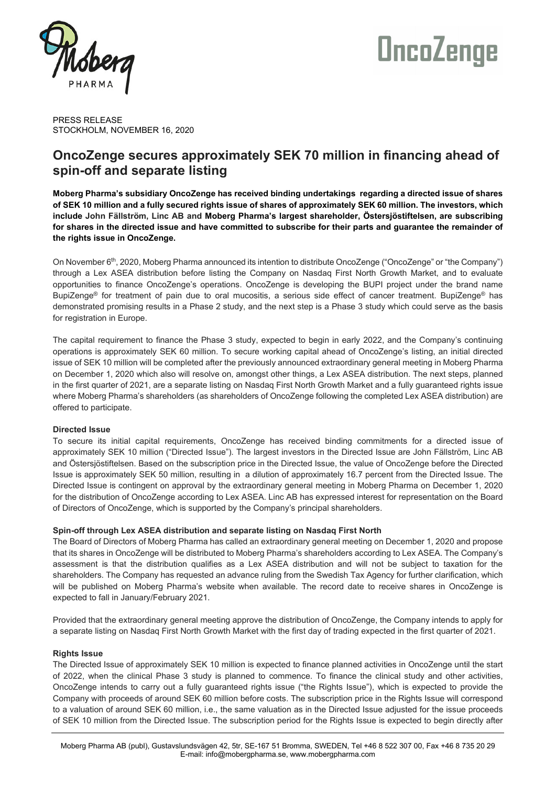

# **OncoZenge**

PRESS RELEASE STOCKHOLM, NOVEMBER 16, 2020

# **OncoZenge secures approximately SEK 70 million in financing ahead of spin-off and separate listing**

**Moberg Pharma's subsidiary OncoZenge has received binding undertakings regarding a directed issue of shares of SEK 10 million and a fully secured rights issue of shares of approximately SEK 60 million. The investors, which include John Fällström, Linc AB and Moberg Pharma's largest shareholder, Östersjöstiftelsen, are subscribing for shares in the directed issue and have committed to subscribe for their parts and guarantee the remainder of the rights issue in OncoZenge.**

On November 6th, 2020, Moberg Pharma announced its intention to distribute OncoZenge ("OncoZenge" or "the Company") through a Lex ASEA distribution before listing the Company on Nasdaq First North Growth Market, and to evaluate opportunities to finance OncoZenge's operations. OncoZenge is developing the BUPI project under the brand name BupiZenge<sup>®</sup> for treatment of pain due to oral mucositis, a serious side effect of cancer treatment. BupiZenge<sup>®</sup> has demonstrated promising results in a Phase 2 study, and the next step is a Phase 3 study which could serve as the basis for registration in Europe.

The capital requirement to finance the Phase 3 study, expected to begin in early 2022, and the Company's continuing operations is approximately SEK 60 million. To secure working capital ahead of OncoZenge's listing, an initial directed issue of SEK 10 million will be completed after the previously announced extraordinary general meeting in Moberg Pharma on December 1, 2020 which also will resolve on, amongst other things, a Lex ASEA distribution. The next steps, planned in the first quarter of 2021, are a separate listing on Nasdaq First North Growth Market and a fully guaranteed rights issue where Moberg Pharma's shareholders (as shareholders of OncoZenge following the completed Lex ASEA distribution) are offered to participate.

# **Directed Issue**

To secure its initial capital requirements, OncoZenge has received binding commitments for a directed issue of approximately SEK 10 million ("Directed Issue"). The largest investors in the Directed Issue are John Fällström, Linc AB and Östersjöstiftelsen. Based on the subscription price in the Directed Issue, the value of OncoZenge before the Directed Issue is approximately SEK 50 million, resulting in a dilution of approximately 16.7 percent from the Directed Issue. The Directed Issue is contingent on approval by the extraordinary general meeting in Moberg Pharma on December 1, 2020 for the distribution of OncoZenge according to Lex ASEA. Linc AB has expressed interest for representation on the Board of Directors of OncoZenge, which is supported by the Company's principal shareholders.

# **Spin-off through Lex ASEA distribution and separate listing on Nasdaq First North**

The Board of Directors of Moberg Pharma has called an extraordinary general meeting on December 1, 2020 and propose that its shares in OncoZenge will be distributed to Moberg Pharma's shareholders according to Lex ASEA. The Company's assessment is that the distribution qualifies as a Lex ASEA distribution and will not be subject to taxation for the shareholders. The Company has requested an advance ruling from the Swedish Tax Agency for further clarification, which will be published on Moberg Pharma's website when available. The record date to receive shares in OncoZenge is expected to fall in January/February 2021.

Provided that the extraordinary general meeting approve the distribution of OncoZenge, the Company intends to apply for a separate listing on Nasdaq First North Growth Market with the first day of trading expected in the first quarter of 2021.

# **Rights Issue**

The Directed Issue of approximately SEK 10 million is expected to finance planned activities in OncoZenge until the start of 2022, when the clinical Phase 3 study is planned to commence. To finance the clinical study and other activities, OncoZenge intends to carry out a fully guaranteed rights issue ("the Rights Issue"), which is expected to provide the Company with proceeds of around SEK 60 million before costs. The subscription price in the Rights Issue will correspond to a valuation of around SEK 60 million, i.e., the same valuation as in the Directed Issue adjusted for the issue proceeds of SEK 10 million from the Directed Issue. The subscription period for the Rights Issue is expected to begin directly after